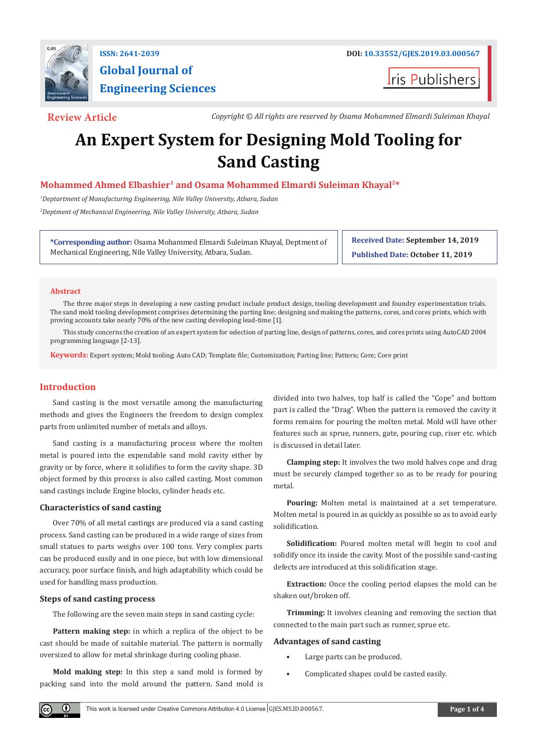

**Global Journal of Engineering Sciences**

**ris Publishers** 

**Review Article** *Copyright © All rights are reserved by Osama Mohammed Elmardi Suleiman Khayal*

# **An Expert System for Designing Mold Tooling for Sand Casting**

# **Mohammed Ahmed Elbashier1 and Osama Mohammed Elmardi Suleiman Khayal2\***

*1 Deptartment of Manufacturing Engineering, Nile Valley University, Atbara, Sudan 2 Deptment of Mechanical Engineering, Nile Valley University, Atbara, Sudan*

**\*Corresponding author:** Osama Mohammed Elmardi Suleiman Khayal, Deptment of Mechanical Engineering, Nile Valley University, Atbara, Sudan.

**Received Date: September 14, 2019 Published Date: October 11, 2019**

#### **Abstract**

The three major steps in developing a new casting product include product design, tooling development and foundry experimentation trials. The sand mold tooling development comprises determining the parting line; designing and making the patterns, cores, and cores prints, which with proving accounts take nearly 70% of the new casting developing lead-time [1].

This study concerns the creation of an expert system for selection of parting line, design of patterns, cores, and cores prints using AutoCAD 2004 programming language [2-13].

**Keywords:** Expert system; Mold tooling; Auto CAD; Template file; Customization; Parting line; Pattern; Core; Core print

#### **Introduction**

Sand casting is the most versatile among the manufacturing methods and gives the Engineers the freedom to design complex parts from unlimited number of metals and alloys.

Sand casting is a manufacturing process where the molten metal is poured into the expendable sand mold cavity either by gravity or by force, where it solidifies to form the cavity shape. 3D object formed by this process is also called casting. Most common sand castings include Engine blocks, cylinder heads etc.

#### **Characteristics of sand casting**

Over 70% of all metal castings are produced via a sand casting process. Sand casting can be produced in a wide range of sizes from small statues to parts weighs over 100 tons. Very complex parts can be produced easily and in one piece, but with low dimensional accuracy, poor surface finish, and high adaptability which could be used for handling mass production.

#### **Steps of sand casting process**

O.

The following are the seven main steps in sand casting cycle:

**Pattern making step:** in which a replica of the object to be cast should be made of suitable material. The pattern is normally oversized to allow for metal shrinkage during cooling phase.

**Mold making step:** In this step a sand mold is formed by packing sand into the mold around the pattern. Sand mold is divided into two halves, top half is called the "Cope" and bottom part is called the "Drag". When the pattern is removed the cavity it forms remains for pouring the molten metal. Mold will have other features such as sprue, runners, gate, pouring cup, riser etc. which is discussed in detail later.

**Clamping step:** It involves the two mold halves cope and drag must be securely clamped together so as to be ready for pouring metal.

**Pouring:** Molten metal is maintained at a set temperature. Molten metal is poured in as quickly as possible so as to avoid early solidification.

**Solidification:** Poured molten metal will begin to cool and solidify once its inside the cavity. Most of the possible sand-casting defects are introduced at this solidification stage.

**Extraction:** Once the cooling period elapses the mold can be shaken out/broken off.

**Trimming:** It involves cleaning and removing the section that connected to the main part such as runner, sprue etc.

#### **Advantages of sand casting**

- Large parts can be produced.
- Complicated shapes could be casted easily.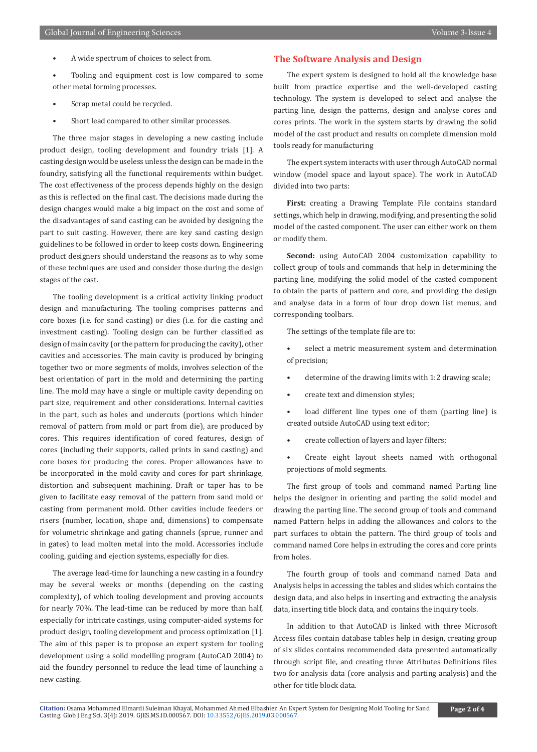- A wide spectrum of choices to select from.
- Tooling and equipment cost is low compared to some other metal forming processes.
- Scrap metal could be recycled.
- Short lead compared to other similar processes.

The three major stages in developing a new casting include product design, tooling development and foundry trials [1]. A casting design would be useless unless the design can be made in the foundry, satisfying all the functional requirements within budget. The cost effectiveness of the process depends highly on the design as this is reflected on the final cast. The decisions made during the design changes would make a big impact on the cost and some of the disadvantages of sand casting can be avoided by designing the part to suit casting. However, there are key sand casting design guidelines to be followed in order to keep costs down. Engineering product designers should understand the reasons as to why some of these techniques are used and consider those during the design stages of the cast.

The tooling development is a critical activity linking product design and manufacturing. The tooling comprises patterns and core boxes (i.e. for sand casting) or dies (i.e. for die casting and investment casting). Tooling design can be further classified as design of main cavity (or the pattern for producing the cavity), other cavities and accessories. The main cavity is produced by bringing together two or more segments of molds, involves selection of the best orientation of part in the mold and determining the parting line. The mold may have a single or multiple cavity depending on part size, requirement and other considerations. Internal cavities in the part, such as holes and undercuts (portions which hinder removal of pattern from mold or part from die), are produced by cores. This requires identification of cored features, design of cores (including their supports, called prints in sand casting) and core boxes for producing the cores. Proper allowances have to be incorporated in the mold cavity and cores for part shrinkage, distortion and subsequent machining. Draft or taper has to be given to facilitate easy removal of the pattern from sand mold or casting from permanent mold. Other cavities include feeders or risers (number, location, shape and, dimensions) to compensate for volumetric shrinkage and gating channels (sprue, runner and in gates) to lead molten metal into the mold. Accessories include cooling, guiding and ejection systems, especially for dies.

The average lead-time for launching a new casting in a foundry may be several weeks or months (depending on the casting complexity), of which tooling development and proving accounts for nearly 70%. The lead-time can be reduced by more than half, especially for intricate castings, using computer-aided systems for product design, tooling development and process optimization [1]. The aim of this paper is to propose an expert system for tooling development using a solid modelling program (AutoCAD 2004) to aid the foundry personnel to reduce the lead time of launching a new casting.

#### **The Software Analysis and Design**

The expert system is designed to hold all the knowledge base built from practice expertise and the well-developed casting technology. The system is developed to select and analyse the parting line, design the patterns, design and analyse cores and cores prints. The work in the system starts by drawing the solid model of the cast product and results on complete dimension mold tools ready for manufacturing

The expert system interacts with user through AutoCAD normal window (model space and layout space). The work in AutoCAD divided into two parts:

**First:** creating a Drawing Template File contains standard settings, which help in drawing, modifying, and presenting the solid model of the casted component. The user can either work on them or modify them.

**Second:** using AutoCAD 2004 customization capability to collect group of tools and commands that help in determining the parting line, modifying the solid model of the casted component to obtain the parts of pattern and core, and providing the design and analyse data in a form of four drop down list menus, and corresponding toolbars.

The settings of the template file are to:

- select a metric measurement system and determination of precision;
- determine of the drawing limits with 1:2 drawing scale;
- create text and dimension styles;
- load different line types one of them (parting line) is created outside AutoCAD using text editor;
- create collection of layers and layer filters;
- Create eight layout sheets named with orthogonal projections of mold segments.

The first group of tools and command named Parting line helps the designer in orienting and parting the solid model and drawing the parting line. The second group of tools and command named Pattern helps in adding the allowances and colors to the part surfaces to obtain the pattern. The third group of tools and command named Core helps in extruding the cores and core prints from holes.

The fourth group of tools and command named Data and Analysis helps in accessing the tables and slides which contains the design data, and also helps in inserting and extracting the analysis data, inserting title block data, and contains the inquiry tools.

In addition to that AutoCAD is linked with three Microsoft Access files contain database tables help in design, creating group of six slides contains recommended data presented automatically through script file, and creating three Attributes Definitions files two for analysis data (core analysis and parting analysis) and the other for title block data.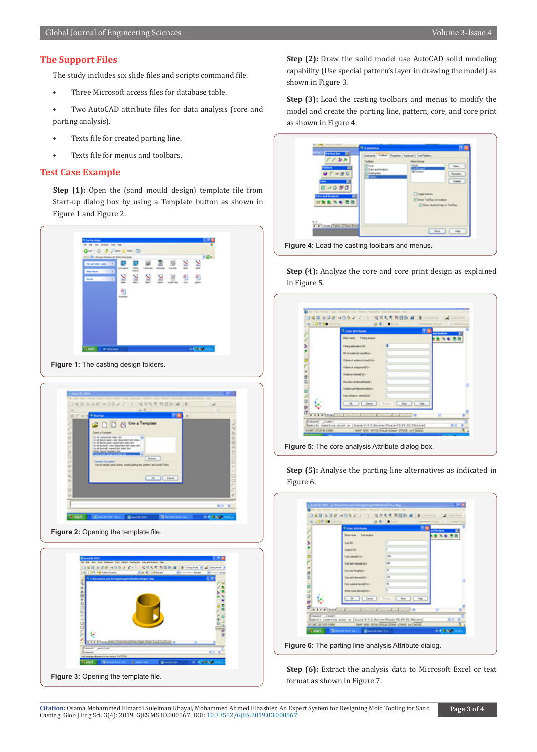#### **The Support Files**

The study includes six slide files and scripts command file.

Three Microsoft access files for database table.

• Two AutoCAD attribute files for data analysis (core and parting analysis).

- Texts file for created parting line.
- Texts file for menus and toolbars.

### **Test Case Example**

**Step (1):** Open the (sand mould design) template file from Start-up dialog box by using a Template button as shown in Figure 1 and Figure 2.





**Figure 2:** Opening the template file.



**Step (2):** Draw the solid model use AutoCAD solid modeling capability (Use special pattern's layer in drawing the model) as shown in Figure 3.

**Step (3):** Load the casting toolbars and menus to modify the model and create the parting line, pattern, core, and core print as shown in Figure 4.

| <b>Faction first</b><br>о                                | Tellen (Rogelex Endored ToolPatino                                                                                                                                                                               |  |
|----------------------------------------------------------|------------------------------------------------------------------------------------------------------------------------------------------------------------------------------------------------------------------|--|
| $2 - 3 - 3$<br>w ep 13<br>0.000<br>alla and Amalous<br>о | <b>Many Group</b><br>adhaan<br><b>KIAD</b><br>Now.<br>يستبان<br><b>All And Analysis</b><br>Felington<br>Forume<br><b>Dates</b><br><b>Claphre</b><br>Ohen Trailige an texture<br>El Show shortcuthaus in ToolTips |  |
| M. Middle Challen Lifetime Front                         | Class   Path                                                                                                                                                                                                     |  |

**Step (4):** Analyze the core and core print design as explained in Figure 5.

|    | <b><i>+ Letter Attributes</i></b><br><b>Block name:</b> Parting analysis | <b>P.M.</b> | and Anadomy |
|----|--------------------------------------------------------------------------|-------------|-------------|
|    | Faring alternative ND                                                    |             |             |
| ì  | NO of undersal consultative                                              |             |             |
|    | Vidure of underud constitutivi                                           |             |             |
|    | Values at component(v) =                                                 |             |             |
|    | <b>Hallmark</b> Model                                                    |             |             |
| da | Hardwr Anworkhabit -                                                     |             |             |
|    | Insteront democratics (+                                                 |             |             |
|    | Draw detance colorial All a                                              |             |             |
|    | Cancel                                                                   |             |             |
|    | $x + 1 + \frac{1}{2}$ (1999) $x - 1 - 1$                                 |             |             |

**Step (5):** Analyse the parting line alternatives as indicated in Figure 6.

|                        | <b><i><i><u><b>D</b> Labor Attorbuion</u></i></i></b> |                                                                         | <b>DN</b> 2000 |
|------------------------|-------------------------------------------------------|-------------------------------------------------------------------------|----------------|
|                        | <b>Buildings</b> Committee                            |                                                                         |                |
|                        | <b>Case Nilly</b>                                     |                                                                         |                |
|                        | Analysis NO                                           |                                                                         |                |
|                        | Con valueable -                                       | ×                                                                       |                |
|                        | Complete volume@igi+                                  | <b>SHA</b>                                                              |                |
|                        | (se parlanghia) -                                     | ×                                                                       |                |
|                        | Complete diamated (i.e.                               | 28                                                                      |                |
|                        | Con material demokratics +                            | ×                                                                       |                |
|                        | <b>Kolas nahá danskačný v</b>                         |                                                                         |                |
|                        | Canal                                                 |                                                                         |                |
| <b>REAL PROPERTY</b>   |                                                       |                                                                         |                |
| <b>Coassid Lissert</b> |                                                       |                                                                         |                |
|                        |                                                       | Specify constitue point or Dicate-5-7-5-Source-Plouis-76-77-75-78-tatal |                |

**Step (6):** Extract the analysis data to Microsoft Excel or text format as shown in Figure 7.